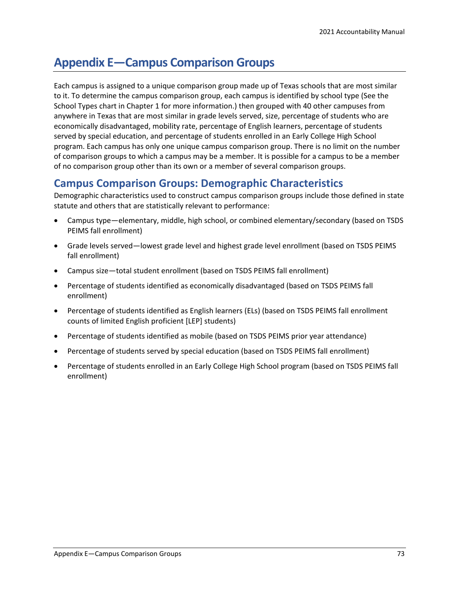# **Appendix E—Campus Comparison Groups**

Each campus is assigned to a unique comparison group made up of Texas schools that are most similar to it. To determine the campus comparison group, each campus is identified by school type (See the School Types chart in Chapter 1 for more information.) then grouped with 40 other campuses from anywhere in Texas that are most similar in grade levels served, size, percentage of students who are economically disadvantaged, mobility rate, percentage of English learners, percentage of students served by special education, and percentage of students enrolled in an Early College High School program. Each campus has only one unique campus comparison group. There is no limit on the number of comparison groups to which a campus may be a member. It is possible for a campus to be a member of no comparison group other than its own or a member of several comparison groups.

#### **Campus Comparison Groups: Demographic Characteristics**

Demographic characteristics used to construct campus comparison groups include those defined in state statute and others that are statistically relevant to performance:

- Campus type—elementary, middle, high school, or combined elementary/secondary (based on TSDS PEIMS fall enrollment)
- Grade levels served—lowest grade level and highest grade level enrollment (based on TSDS PEIMS fall enrollment)
- Campus size—total student enrollment (based on TSDS PEIMS fall enrollment)
- Percentage of students identified as economically disadvantaged (based on TSDS PEIMS fall enrollment)
- Percentage of students identified as English learners (ELs) (based on TSDS PEIMS fall enrollment counts of limited English proficient [LEP] students)
- Percentage of students identified as mobile (based on TSDS PEIMS prior year attendance)
- Percentage of students served by special education (based on TSDS PEIMS fall enrollment)
- Percentage of students enrolled in an Early College High School program (based on TSDS PEIMS fall enrollment)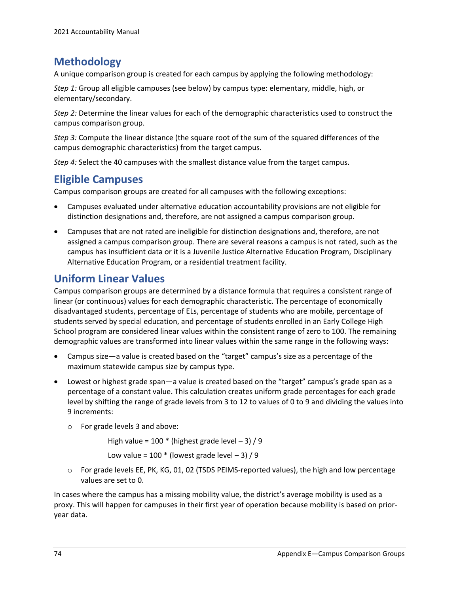# **Methodology**

A unique comparison group is created for each campus by applying the following methodology:

*Step 1:* Group all eligible campuses (see below) by campus type: elementary, middle, high, or elementary/secondary.

*Step 2:* Determine the linear values for each of the demographic characteristics used to construct the campus comparison group.

*Step 3:* Compute the linear distance (the square root of the sum of the squared differences of the campus demographic characteristics) from the target campus.

*Step 4:* Select the 40 campuses with the smallest distance value from the target campus.

### **Eligible Campuses**

Campus comparison groups are created for all campuses with the following exceptions:

- Campuses evaluated under alternative education accountability provisions are not eligible for distinction designations and, therefore, are not assigned a campus comparison group.
- Campuses that are not rated are ineligible for distinction designations and, therefore, are not assigned a campus comparison group. There are several reasons a campus is not rated, such as the campus has insufficient data or it is a Juvenile Justice Alternative Education Program, Disciplinary Alternative Education Program, or a residential treatment facility.

## **Uniform Linear Values**

Campus comparison groups are determined by a distance formula that requires a consistent range of linear (or continuous) values for each demographic characteristic. The percentage of economically disadvantaged students, percentage of ELs, percentage of students who are mobile, percentage of students served by special education, and percentage of students enrolled in an Early College High School program are considered linear values within the consistent range of zero to 100. The remaining demographic values are transformed into linear values within the same range in the following ways:

- Campus size—a value is created based on the "target" campus's size as a percentage of the maximum statewide campus size by campus type.
- Lowest or highest grade span—a value is created based on the "target" campus's grade span as a percentage of a constant value. This calculation creates uniform grade percentages for each grade level by shifting the range of grade levels from 3 to 12 to values of 0 to 9 and dividing the values into 9 increments:
	- o For grade levels 3 and above:

High value =  $100 *$  (highest grade level  $-3$ ) / 9

Low value =  $100 *$  (lowest grade level  $-3$ ) / 9

 $\circ$  For grade levels EE, PK, KG, 01, 02 (TSDS PEIMS-reported values), the high and low percentage values are set to 0.

In cases where the campus has a missing mobility value, the district's average mobility is used as a proxy. This will happen for campuses in their first year of operation because mobility is based on prioryear data.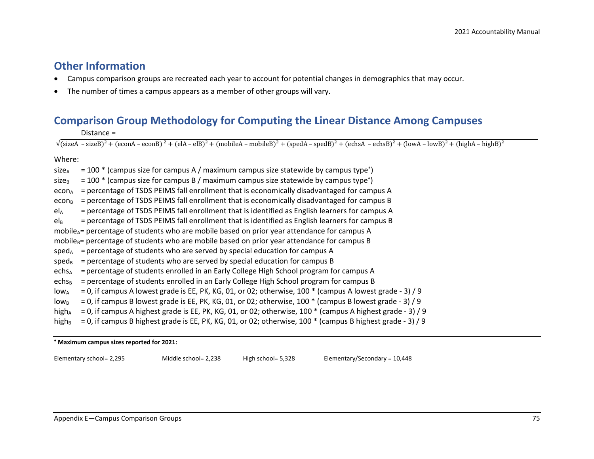#### **Other Information**

- Campus comparison groups are recreated each year to account for potential changes in demographics that may occur.
- The number of times a campus appears as a member of other groups will vary.

# **Comparison Group Methodology for Computing the Linear Distance Among Campuses**

Distance =

 $\sqrt{\text{(sizeA - sizeB)}^2 + \text{(econA - econB)}^2 + \text{(elA - elB)}^2 + \text{(mobileA - mobileB)}^2 + \text{(speedA - speedB)}^2 + \text{(echsA - echSB)}^2 + \text{(lowA - lowB)}^2 + \text{(highA - highB)}^2}$ 

#### Where:

size<sub>A</sub> = 100  $*$  (campus size for campus A / maximum campus size statewide by campus type<sup>\*</sup>) size<sub>B</sub> = 100  $*$  (campus size for campus B / maximum campus size statewide by campus type<sup>\*</sup>) econ<sub>A</sub> = percentage of TSDS PEIMS fall enrollment that is economically disadvantaged for campus A econ $_B$  = percentage of TSDS PEIMS fall enrollment that is economically disadvantaged for campus B  $eI_A$  = percentage of TSDS PEIMS fall enrollment that is identified as English learners for campus A  $eI_B$  = percentage of TSDS PEIMS fall enrollment that is identified as English learners for campus B mobile<sub>A</sub>= percentage of students who are mobile based on prior year attendance for campus A mobile $B =$  percentage of students who are mobile based on prior year attendance for campus B  $speed_A$  = percentage of students who are served by special education for campus A sped<sub>B</sub> = percentage of students who are served by special education for campus B echs<sub>A</sub> = percentage of students enrolled in an Early College High School program for campus A echs<sub>B</sub> = percentage of students enrolled in an Early College High School program for campus B  $low_A$  = 0, if campus A lowest grade is EE, PK, KG, 01, or 02; otherwise, 100  $*$  (campus A lowest grade - 3) / 9  $\log_{\rm B}$  = 0, if campus B lowest grade is EE, PK, KG, 01, or 02; otherwise, 100  $*$  (campus B lowest grade - 3) / 9 high<sub>A</sub> = 0, if campus A highest grade is EE, PK, KG, 01, or 02; otherwise, 100  $*$  (campus A highest grade - 3) / 9 high<sub>B</sub> = 0, if campus B highest grade is EE, PK, KG, 01, or 02; otherwise, 100  $*$  (campus B highest grade - 3) / 9

<sup>∗</sup> **Maximum campus sizes reported for 2021:** 

Elementary school= 2,295 Middle school= 2,238 High school= 5,328 Elementary/Secondary = 10,448

Appendix E—Campus Comparison Groups 75